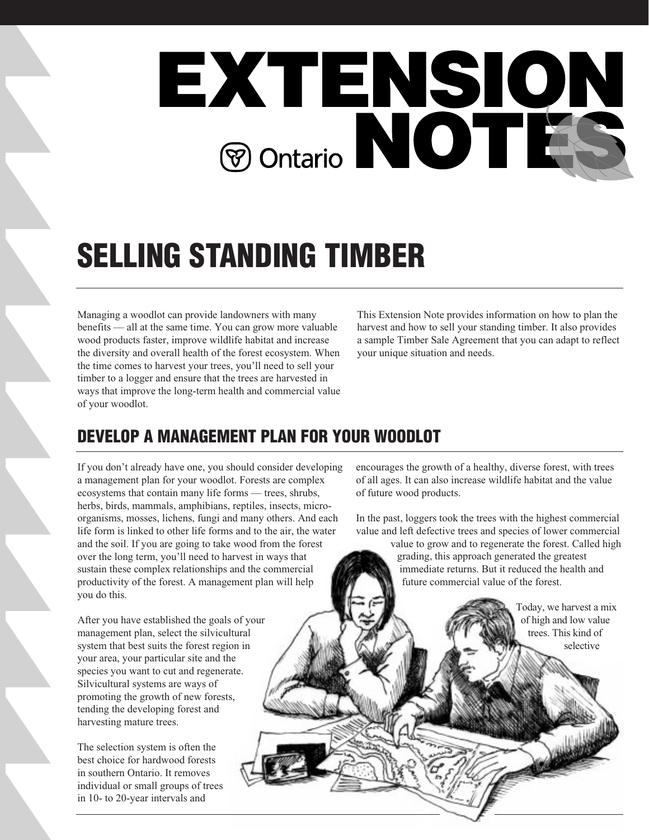

# **SELLING STANDING TIMBER**

Managing a woodlot can provide landowners with many benefits — all at the same time. You can grow more valuable wood products faster, improve wildlife habitat and increase the diversity and overall health of the forest ecosystem. When the time comes to harvest your trees, you'll need to sell your timber to a logger and ensure that the trees are harvested in ways that improve the long-term health and commercial value of your woodlot.

This Extension Note provides information on how to plan the harvest and how to sell your standing timber. It also provides a sample Timber Sale Agreement that you can adapt to reflect your unique situation and needs.

# **DEVELOP A MANAGEMENT PLAN FOR YOUR WOODLOT**

If you don't already have one, you should consider developing a management plan for your woodlot. Forests are complex ecosystems that contain many life forms — trees, shrubs, herbs, birds, mammals, amphibians, reptiles, insects, microorganisms, mosses, lichens, fungi and many others. And each life form is linked to other life forms and to the air, the water and the soil. If you are going to take wood from the forest over the long term, you'll need to harvest in ways that sustain these complex relationships and the commercial productivity of the forest. A management plan will help you do this.

After you have established the goals of your management plan, select the silvicultural system that best suits the forest region in your area, your particular site and the species you want to cut and regenerate. Silvicultural systems are ways of promoting the growth of new forests, tending the developing forest and harvesting mature trees.

The selection system is often the best choice for hardwood forests in southern Ontario. It removes individual or small groups of trees in 10- to 20-year intervals and

encourages the growth of a healthy, diverse forest, with trees of all ages. It can also increase wildlife habitat and the value of future wood products.

In the past, loggers took the trees with the highest commercial value and left defective trees and species of lower commercial

value to grow and to regenerate the forest. Called high grading, this approach generated the greatest immediate returns. But it reduced the health and future commercial value of the forest.

> Today, we harvest a mix of high and low value trees. This kind of selective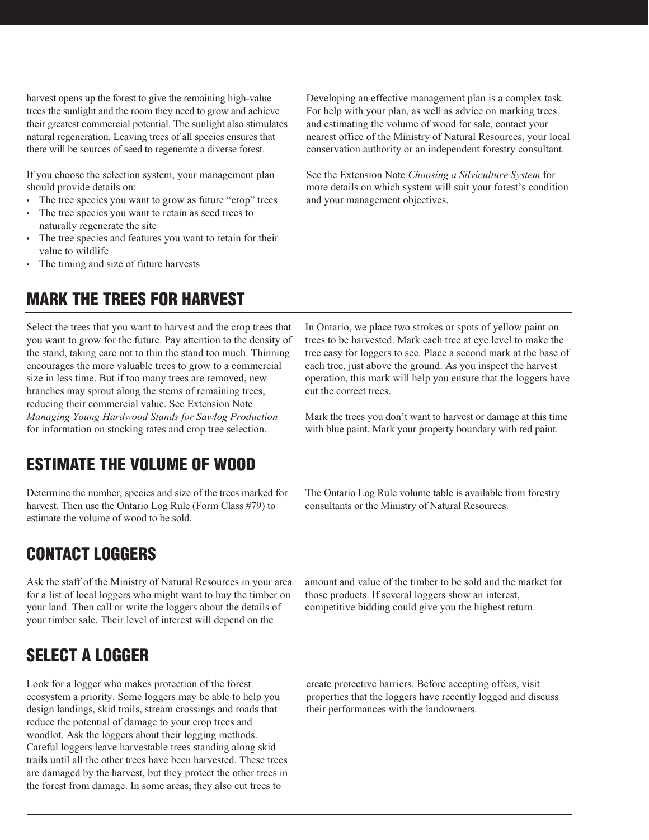harvest opens up the forest to give the remaining high-value trees the sunlight and the room they need to grow and achieve their greatest commercial potential. The sunlight also stimulates natural regeneration. Leaving trees of all species ensures that there will be sources of seed to regenerate a diverse forest.

If you choose the selection system, your management plan should provide details on:

- The tree species you want to grow as future "crop" trees
- The tree species you want to retain as seed trees to naturally regenerate the site
- The tree species and features you want to retain for their value to wildlife
- The timing and size of future harvests

# **MARK THE TREES FOR HARVEST**

Select the trees that you want to harvest and the crop trees that you want to grow for the future. Pay attention to the density of the stand, taking care not to thin the stand too much. Thinning encourages the more valuable trees to grow to a commercial size in less time. But if too many trees are removed, new branches may sprout along the stems of remaining trees, reducing their commercial value. See Extension Note *Managing Young Hardwood Stands for Sawlog Production* for information on stocking rates and crop tree selection.

# **ESTIMATE THE VOLUME OF WOOD**

Determine the number, species and size of the trees marked for harvest. Then use the Ontario Log Rule (Form Class #79) to estimate the volume of wood to be sold.

Developing an effective management plan is a complex task. For help with your plan, as well as advice on marking trees and estimating the volume of wood for sale, contact your nearest office of the Ministry of Natural Resources, your local conservation authority or an independent forestry consultant.

See the Extension Note *Choosing a Silviculture System* for more details on which system will suit your forest's condition and your management objectives.

In Ontario, we place two strokes or spots of yellow paint on trees to be harvested. Mark each tree at eye level to make the tree easy for loggers to see. Place a second mark at the base of each tree, just above the ground. As you inspect the harvest operation, this mark will help you ensure that the loggers have cut the correct trees.

Mark the trees you don't want to harvest or damage at this time with blue paint. Mark your property boundary with red paint.

The Ontario Log Rule volume table is available from forestry consultants or the Ministry of Natural Resources.

# **CONTACT LOGGERS**

Ask the staff of the Ministry of Natural Resources in your area for a list of local loggers who might want to buy the timber on your land. Then call or write the loggers about the details of your timber sale. Their level of interest will depend on the

amount and value of the timber to be sold and the market for those products. If several loggers show an interest, competitive bidding could give you the highest return.

# **SELECT A LOGGER**

Look for a logger who makes protection of the forest ecosystem a priority. Some loggers may be able to help you design landings, skid trails, stream crossings and roads that reduce the potential of damage to your crop trees and woodlot. Ask the loggers about their logging methods. Careful loggers leave harvestable trees standing along skid trails until all the other trees have been harvested. These trees are damaged by the harvest, but they protect the other trees in the forest from damage. In some areas, they also cut trees to

create protective barriers. Before accepting offers, visit properties that the loggers have recently logged and discuss their performances with the landowners.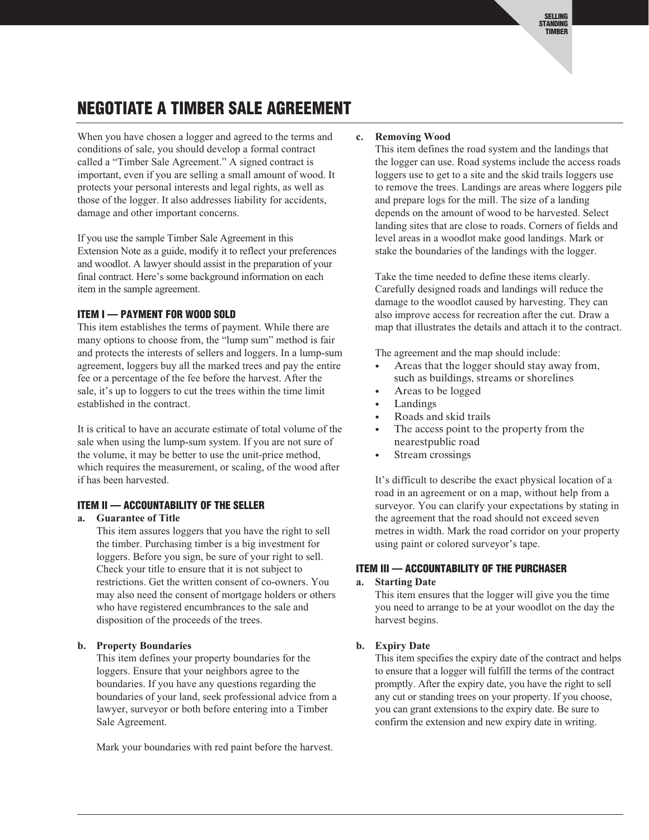# **NEGOTIATE A TIMBER SALE AGREEMENT**

When you have chosen a logger and agreed to the terms and conditions of sale, you should develop a formal contract called a "Timber Sale Agreement." A signed contract is important, even if you are selling a small amount of wood. It protects your personal interests and legal rights, as well as those of the logger. It also addresses liability for accidents, damage and other important concerns.

If you use the sample Timber Sale Agreement in this Extension Note as a guide, modify it to reflect your preferences and woodlot. A lawyer should assist in the preparation of your final contract. Here's some background information on each item in the sample agreement.

#### **ITEM I — PAYMENT FOR WOOD SOLD**

This item establishes the terms of payment. While there are many options to choose from, the "lump sum" method is fair and protects the interests of sellers and loggers. In a lump-sum agreement, loggers buy all the marked trees and pay the entire fee or a percentage of the fee before the harvest. After the sale, it's up to loggers to cut the trees within the time limit established in the contract.

It is critical to have an accurate estimate of total volume of the sale when using the lump-sum system. If you are not sure of the volume, it may be better to use the unit-price method, which requires the measurement, or scaling, of the wood after if has been harvested.

#### **ITEM II — ACCOUNTABILITY OF THE SELLER**

#### **a. Guarantee of Title**

This item assures loggers that you have the right to sell the timber. Purchasing timber is a big investment for loggers. Before you sign, be sure of your right to sell. Check your title to ensure that it is not subject to restrictions. Get the written consent of co-owners. You may also need the consent of mortgage holders or others who have registered encumbrances to the sale and disposition of the proceeds of the trees.

#### **b. Property Boundaries**

This item defines your property boundaries for the loggers. Ensure that your neighbors agree to the boundaries. If you have any questions regarding the boundaries of your land, seek professional advice from a lawyer, surveyor or both before entering into a Timber Sale Agreement.

Mark your boundaries with red paint before the harvest.

#### **c. Removing Wood**

This item defines the road system and the landings that the logger can use. Road systems include the access roads loggers use to get to a site and the skid trails loggers use to remove the trees. Landings are areas where loggers pile and prepare logs for the mill. The size of a landing depends on the amount of wood to be harvested. Select landing sites that are close to roads. Corners of fields and level areas in a woodlot make good landings. Mark or stake the boundaries of the landings with the logger.

Take the time needed to define these items clearly. Carefully designed roads and landings will reduce the damage to the woodlot caused by harvesting. They can also improve access for recreation after the cut. Draw a map that illustrates the details and attach it to the contract.

The agreement and the map should include:

- Areas that the logger should stay away from, such as buildings, streams or shorelines
- Areas to be logged
- **Landings**
- Roads and skid trails
- The access point to the property from the nearestpublic road
- Stream crossings

It's difficult to describe the exact physical location of a road in an agreement or on a map, without help from a surveyor. You can clarify your expectations by stating in the agreement that the road should not exceed seven metres in width. Mark the road corridor on your property using paint or colored surveyor's tape.

#### **ITEM III — ACCOUNTABILITY OF THE PURCHASER**

#### **a. Starting Date**

This item ensures that the logger will give you the time you need to arrange to be at your woodlot on the day the harvest begins.

#### **b. Expiry Date**

This item specifies the expiry date of the contract and helps to ensure that a logger will fulfill the terms of the contract promptly. After the expiry date, you have the right to sell any cut or standing trees on your property. If you choose, you can grant extensions to the expiry date. Be sure to confirm the extension and new expiry date in writing.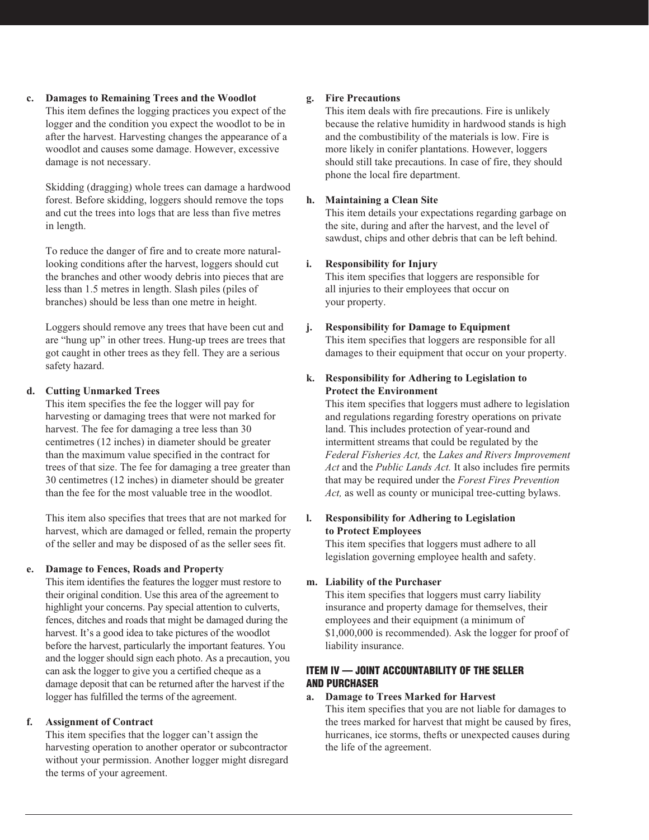**c. Damages to Remaining Trees and the Woodlot**

This item defines the logging practices you expect of the logger and the condition you expect the woodlot to be in after the harvest. Harvesting changes the appearance of a woodlot and causes some damage. However, excessive damage is not necessary.

Skidding (dragging) whole trees can damage a hardwood forest. Before skidding, loggers should remove the tops and cut the trees into logs that are less than five metres in length.

To reduce the danger of fire and to create more naturallooking conditions after the harvest, loggers should cut the branches and other woody debris into pieces that are less than 1.5 metres in length. Slash piles (piles of branches) should be less than one metre in height.

Loggers should remove any trees that have been cut and are "hung up" in other trees. Hung-up trees are trees that got caught in other trees as they fell. They are a serious safety hazard.

### **d. Cutting Unmarked Trees**

This item specifies the fee the logger will pay for harvesting or damaging trees that were not marked for harvest. The fee for damaging a tree less than 30 centimetres (12 inches) in diameter should be greater than the maximum value specified in the contract for trees of that size. The fee for damaging a tree greater than 30 centimetres (12 inches) in diameter should be greater than the fee for the most valuable tree in the woodlot.

This item also specifies that trees that are not marked for harvest, which are damaged or felled, remain the property of the seller and may be disposed of as the seller sees fit.

### **e. Damage to Fences, Roads and Property**

This item identifies the features the logger must restore to their original condition. Use this area of the agreement to highlight your concerns. Pay special attention to culverts, fences, ditches and roads that might be damaged during the harvest. It's a good idea to take pictures of the woodlot before the harvest, particularly the important features. You and the logger should sign each photo. As a precaution, you can ask the logger to give you a certified cheque as a damage deposit that can be returned after the harvest if the logger has fulfilled the terms of the agreement.

# **f. Assignment of Contract**

This item specifies that the logger can't assign the harvesting operation to another operator or subcontractor without your permission. Another logger might disregard the terms of your agreement.

## **g. Fire Precautions**

This item deals with fire precautions. Fire is unlikely because the relative humidity in hardwood stands is high and the combustibility of the materials is low. Fire is more likely in conifer plantations. However, loggers should still take precautions. In case of fire, they should phone the local fire department.

### **h. Maintaining a Clean Site**

This item details your expectations regarding garbage on the site, during and after the harvest, and the level of sawdust, chips and other debris that can be left behind.

## **i. Responsibility for Injury**

This item specifies that loggers are responsible for all injuries to their employees that occur on your property.

## **j. Responsibility for Damage to Equipment**

This item specifies that loggers are responsible for all damages to their equipment that occur on your property.

### **k. Responsibility for Adhering to Legislation to Protect the Environment**

This item specifies that loggers must adhere to legislation and regulations regarding forestry operations on private land. This includes protection of year-round and intermittent streams that could be regulated by the *Federal Fisheries Act,* the *Lakes and Rivers Improvement Act* and the *Public Lands Act.* It also includes fire permits that may be required under the *Forest Fires Prevention Act,* as well as county or municipal tree-cutting bylaws.

### **l. Responsibility for Adhering to Legislation to Protect Employees**

This item specifies that loggers must adhere to all legislation governing employee health and safety.

### **m. Liability of the Purchaser**

This item specifies that loggers must carry liability insurance and property damage for themselves, their employees and their equipment (a minimum of \$1,000,000 is recommended). Ask the logger for proof of liability insurance.

### **ITEM IV — JOINT ACCOUNTABILITY OF THE SELLER AND PURCHASER**

### **a. Damage to Trees Marked for Harvest**

This item specifies that you are not liable for damages to the trees marked for harvest that might be caused by fires, hurricanes, ice storms, thefts or unexpected causes during the life of the agreement.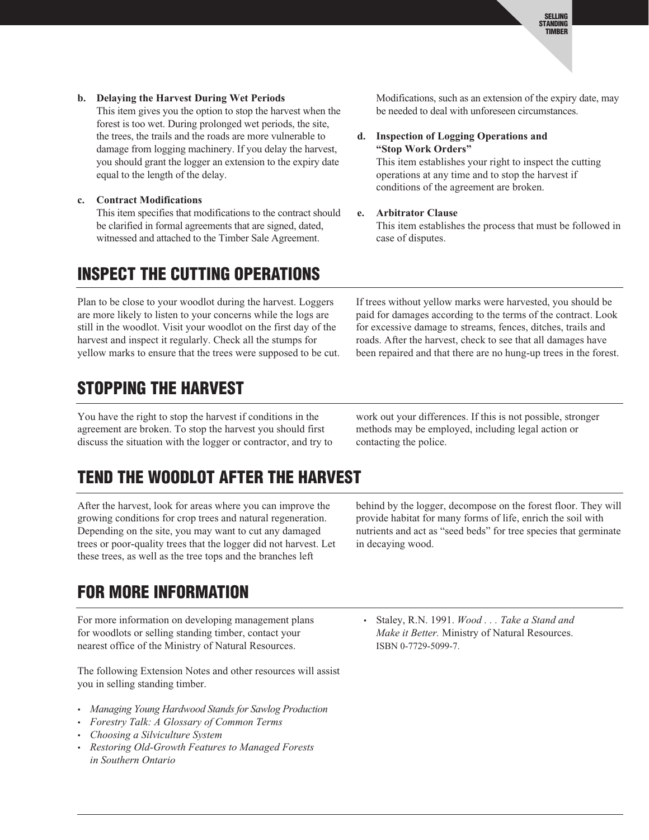### **b. Delaying the Harvest During Wet Periods**

This item gives you the option to stop the harvest when the forest is too wet. During prolonged wet periods, the site, the trees, the trails and the roads are more vulnerable to damage from logging machinery. If you delay the harvest, you should grant the logger an extension to the expiry date equal to the length of the delay.

#### **c. Contract Modifications**

This item specifies that modifications to the contract should be clarified in formal agreements that are signed, dated, witnessed and attached to the Timber Sale Agreement.

# **INSPECT THE CUTTING OPERATIONS**

Plan to be close to your woodlot during the harvest. Loggers are more likely to listen to your concerns while the logs are still in the woodlot. Visit your woodlot on the first day of the harvest and inspect it regularly. Check all the stumps for yellow marks to ensure that the trees were supposed to be cut.

# **STOPPING THE HARVEST**

You have the right to stop the harvest if conditions in the agreement are broken. To stop the harvest you should first discuss the situation with the logger or contractor, and try to

# **TEND THE WOODLOT AFTER THE HARVEST**

After the harvest, look for areas where you can improve the growing conditions for crop trees and natural regeneration. Depending on the site, you may want to cut any damaged trees or poor-quality trees that the logger did not harvest. Let these trees, as well as the tree tops and the branches left

# **FOR MORE INFORMATION**

For more information on developing management plans for woodlots or selling standing timber, contact your nearest office of the Ministry of Natural Resources.

The following Extension Notes and other resources will assist you in selling standing timber.

- *• Managing Young Hardwood Stands for Sawlog Production*
- *• Forestry Talk: A Glossary of Common Terms*
- *• Choosing a Silviculture System*
- *• Restoring Old-Growth Features to Managed Forests in Southern Ontario*

Modifications, such as an extension of the expiry date, may be needed to deal with unforeseen circumstances.

#### **d. Inspection of Logging Operations and "Stop Work Orders"**

This item establishes your right to inspect the cutting operations at any time and to stop the harvest if conditions of the agreement are broken.

#### **e. Arbitrator Clause**

This item establishes the process that must be followed in case of disputes.

If trees without yellow marks were harvested, you should be paid for damages according to the terms of the contract. Look for excessive damage to streams, fences, ditches, trails and roads. After the harvest, check to see that all damages have been repaired and that there are no hung-up trees in the forest.

work out your differences. If this is not possible, stronger methods may be employed, including legal action or contacting the police.

behind by the logger, decompose on the forest floor. They will provide habitat for many forms of life, enrich the soil with nutrients and act as "seed beds" for tree species that germinate in decaying wood.

*•* Staley, R.N. 1991. *Wood . . . Take a Stand and Make it Better.* Ministry of Natural Resources. ISBN 0-7729-5099-7.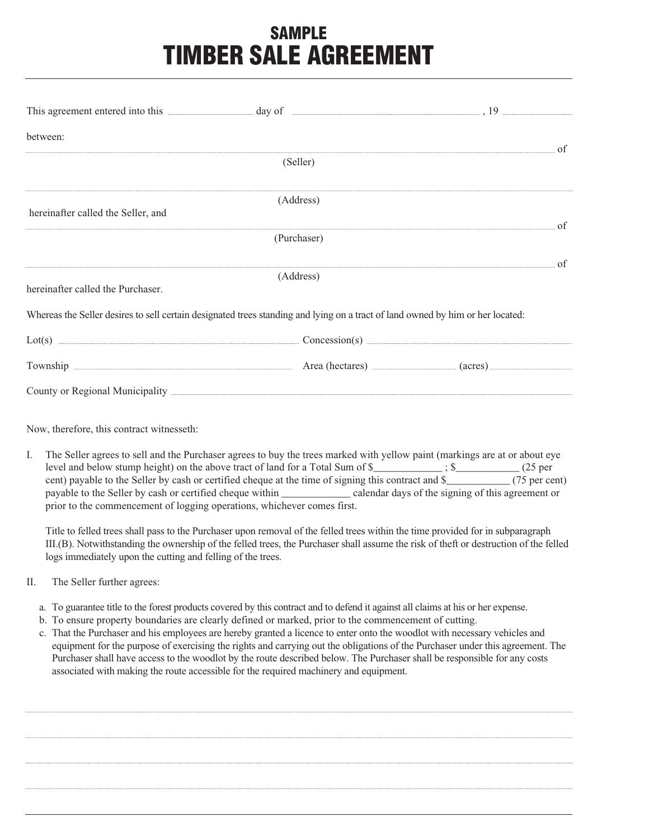# **SAMPLE TIMBER SALE AGREEMENT**

| This agreement entered into this <b>contact and any of</b> day of 3.19 and 3.19 and 3.19 and 3.19 and 3.19 and 3.19 and 3.19 and 3.19 and 3.19 and 3.19 and 3.19 and 3.19 and 3.19 and 3.19 and 3.19 and 3.19 and 3.19 and 3.19 and |             |  |
|-------------------------------------------------------------------------------------------------------------------------------------------------------------------------------------------------------------------------------------|-------------|--|
| between:                                                                                                                                                                                                                            |             |  |
|                                                                                                                                                                                                                                     | (Seller)    |  |
| hereinafter called the Seller, and                                                                                                                                                                                                  | (Address)   |  |
|                                                                                                                                                                                                                                     |             |  |
|                                                                                                                                                                                                                                     | (Purchaser) |  |
|                                                                                                                                                                                                                                     |             |  |
| (Address)<br>hereinafter called the Purchaser.                                                                                                                                                                                      |             |  |
| Whereas the Seller desires to sell certain designated trees standing and lying on a tract of land owned by him or her located:                                                                                                      |             |  |
|                                                                                                                                                                                                                                     |             |  |
|                                                                                                                                                                                                                                     |             |  |
|                                                                                                                                                                                                                                     |             |  |

Now, therefore, this contract witnesseth:

I. The Seller agrees to sell and the Purchaser agrees to buy the trees marked with yellow paint (markings are at or about eye level and below stump height) on the above tract of land for a Total Sum of \$  $\qquad$  ; \$  $(25 \text{ per})$ cent) payable to the Seller by cash or certified cheque at the time of signing this contract and \$\_\_\_\_\_\_\_\_\_\_\_\_ (75 per cent) payable to the Seller by cash or certified cheque within \_\_\_\_\_\_\_\_\_\_\_\_\_ calendar days of the signing of this agreement or prior to the commencement of logging operations, whichever comes first.

Title to felled trees shall pass to the Purchaser upon removal of the felled trees within the time provided for in subparagraph III.(B). Notwithstanding the ownership of the felled trees, the Purchaser shall assume the risk of theft or destruction of the felled logs immediately upon the cutting and felling of the trees.

- II. The Seller further agrees:
	- a. To guarantee title to the forest products covered by this contract and to defend it against all claims at his or her expense.
	- b. To ensure property boundaries are clearly defined or marked, prior to the commencement of cutting.
	- c. That the Purchaser and his employees are hereby granted a licence to enter onto the woodlot with necessary vehicles and equipment for the purpose of exercising the rights and carrying out the obligations of the Purchaser under this agreement. The Purchaser shall have access to the woodlot by the route described below. The Purchaser shall be responsible for any costs associated with making the route accessible for the required machinery and equipment.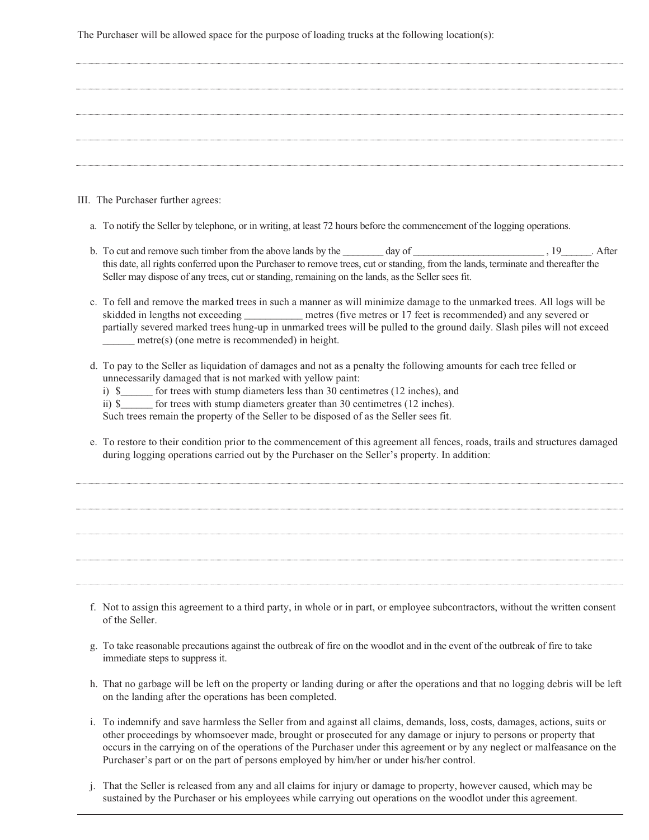The Purchaser will be allowed space for the purpose of loading trucks at the following location(s):

III. The Purchaser further agrees:

- a. To notify the Seller by telephone, or in writing, at least 72 hours before the commencement of the logging operations.
- b. To cut and remove such timber from the above lands by the \_\_\_\_\_\_ day of \_\_\_\_\_\_\_\_\_\_\_\_\_\_\_\_\_\_\_\_\_\_\_\_\_\_\_\_\_\_\_\_\_, 19\_\_\_\_\_\_\_\_. After this date, all rights conferred upon the Purchaser to remove trees, cut or standing, from the lands, terminate and thereafter the Seller may dispose of any trees, cut or standing, remaining on the lands, as the Seller sees fit.
- c. To fell and remove the marked trees in such a manner as will minimize damage to the unmarked trees. All logs will be skidded in lengths not exceeding \_\_\_\_\_\_\_\_\_\_\_ metres (five metres or 17 feet is recommended) and any severed or partially severed marked trees hung-up in unmarked trees will be pulled to the ground daily. Slash piles will not exceed \_\_\_\_\_\_ metre(s) (one metre is recommended) in height.
- d. To pay to the Seller as liquidation of damages and not as a penalty the following amounts for each tree felled or unnecessarily damaged that is not marked with yellow paint:

i) \$\_\_\_\_\_\_ for trees with stump diameters less than 30 centimetres (12 inches), and

ii) \$\_\_\_\_\_\_ for trees with stump diameters greater than 30 centimetres (12 inches).

Such trees remain the property of the Seller to be disposed of as the Seller sees fit.

e. To restore to their condition prior to the commencement of this agreement all fences, roads, trails and structures damaged during logging operations carried out by the Purchaser on the Seller's property. In addition:

- f. Not to assign this agreement to a third party, in whole or in part, or employee subcontractors, without the written consent of the Seller.
- g. To take reasonable precautions against the outbreak of fire on the woodlot and in the event of the outbreak of fire to take immediate steps to suppress it.
- h. That no garbage will be left on the property or landing during or after the operations and that no logging debris will be left on the landing after the operations has been completed.
- i. To indemnify and save harmless the Seller from and against all claims, demands, loss, costs, damages, actions, suits or other proceedings by whomsoever made, brought or prosecuted for any damage or injury to persons or property that occurs in the carrying on of the operations of the Purchaser under this agreement or by any neglect or malfeasance on the Purchaser's part or on the part of persons employed by him/her or under his/her control.
- j. That the Seller is released from any and all claims for injury or damage to property, however caused, which may be sustained by the Purchaser or his employees while carrying out operations on the woodlot under this agreement.